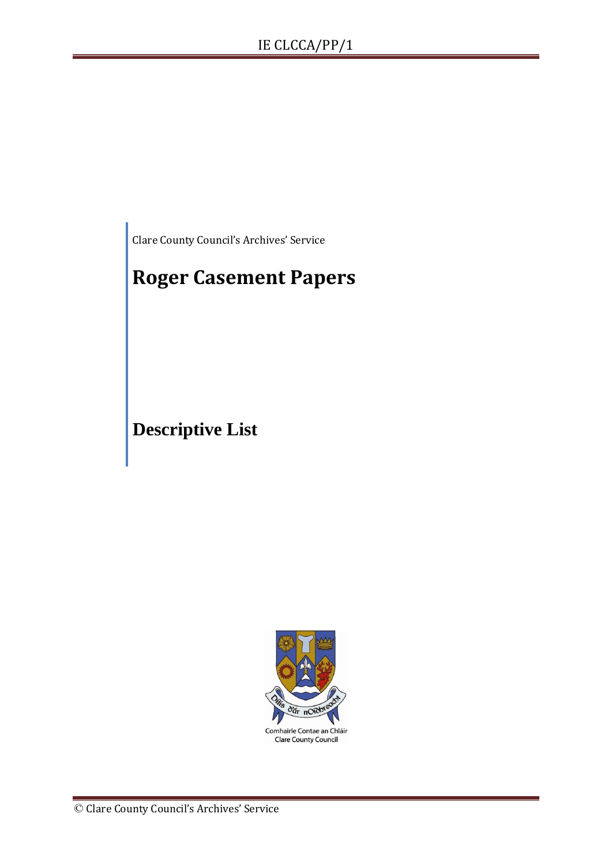Clare County Council's Archives' Service

# **Roger Casement Papers**

**Descriptive List**

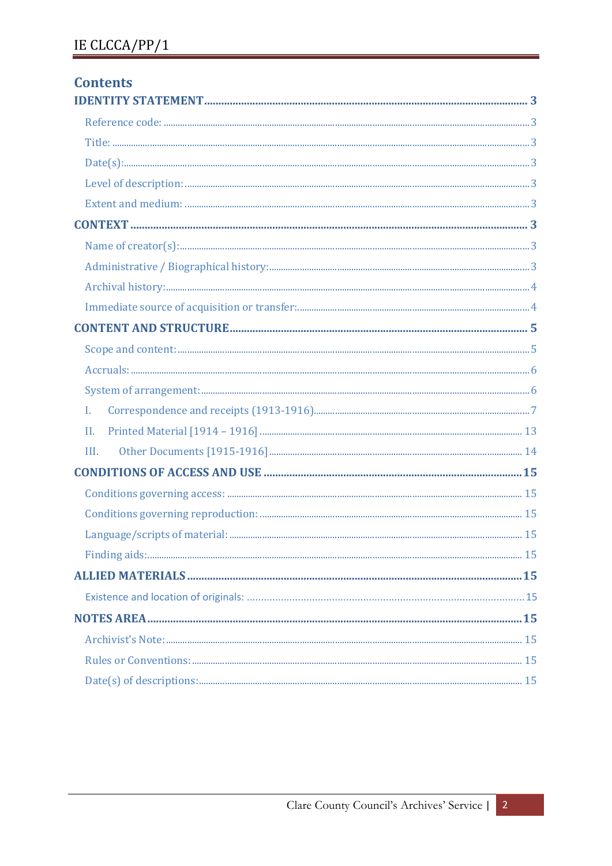| <b>Contents</b> |  |
|-----------------|--|
|                 |  |
|                 |  |
|                 |  |
|                 |  |
|                 |  |
|                 |  |
|                 |  |
|                 |  |
|                 |  |
|                 |  |
|                 |  |
|                 |  |
|                 |  |
|                 |  |
|                 |  |
| $\mathbf{I}$ .  |  |
| II.             |  |
| III.            |  |
|                 |  |
|                 |  |
|                 |  |
|                 |  |
|                 |  |
|                 |  |
|                 |  |
|                 |  |
|                 |  |
|                 |  |
|                 |  |
|                 |  |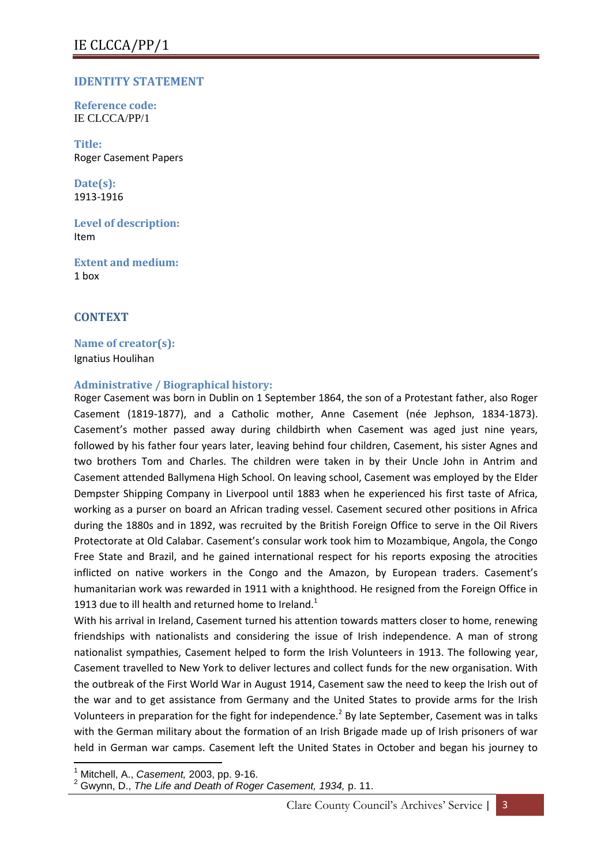## <span id="page-2-0"></span>**IDENTITY STATEMENT**

<span id="page-2-1"></span>**Reference code:**  IE CLCCA/PP/1

<span id="page-2-2"></span>**Title:** Roger Casement Papers

<span id="page-2-3"></span>**Date(s):**  1913-1916

<span id="page-2-4"></span>**Level of description:** Item

<span id="page-2-5"></span>**Extent and medium:**  1 box

## <span id="page-2-6"></span>**CONTEXT**

<span id="page-2-7"></span>**Name of creator(s):** Ignatius Houlihan

## <span id="page-2-8"></span>**Administrative / Biographical history:**

Roger Casement was born in Dublin on 1 September 1864, the son of a Protestant father, also Roger Casement (1819-1877), and a Catholic mother, Anne Casement (née Jephson, 1834-1873). Casement's mother passed away during childbirth when Casement was aged just nine years, followed by his father four years later, leaving behind four children, Casement, his sister Agnes and two brothers Tom and Charles. The children were taken in by their Uncle John in Antrim and Casement attended Ballymena High School. On leaving school, Casement was employed by the Elder Dempster Shipping Company in Liverpool until 1883 when he experienced his first taste of Africa, working as a purser on board an African trading vessel. Casement secured other positions in Africa during the 1880s and in 1892, was recruited by the British Foreign Office to serve in the Oil Rivers Protectorate at Old Calabar. Casement's consular work took him to Mozambique, Angola, the Congo Free State and Brazil, and he gained international respect for his reports exposing the atrocities inflicted on native workers in the Congo and the Amazon, by European traders. Casement's humanitarian work was rewarded in 1911 with a knighthood. He resigned from the Foreign Office in 1913 due to ill health and returned home to Ireland.<sup>1</sup>

With his arrival in Ireland, Casement turned his attention towards matters closer to home, renewing friendships with nationalists and considering the issue of Irish independence. A man of strong nationalist sympathies, Casement helped to form the Irish Volunteers in 1913. The following year, Casement travelled to New York to deliver lectures and collect funds for the new organisation. With the outbreak of the First World War in August 1914, Casement saw the need to keep the Irish out of the war and to get assistance from Germany and the United States to provide arms for the Irish Volunteers in preparation for the fight for independence.<sup>2</sup> By late September, Casement was in talks with the German military about the formation of an Irish Brigade made up of Irish prisoners of war held in German war camps. Casement left the United States in October and began his journey to

**<sup>.</sup>** <sup>1</sup> Mitchell, A., *Casement,* 2003, pp. 9-16.

<sup>2</sup> Gwynn, D., *The Life and Death of Roger Casement, 1934,* p. 11.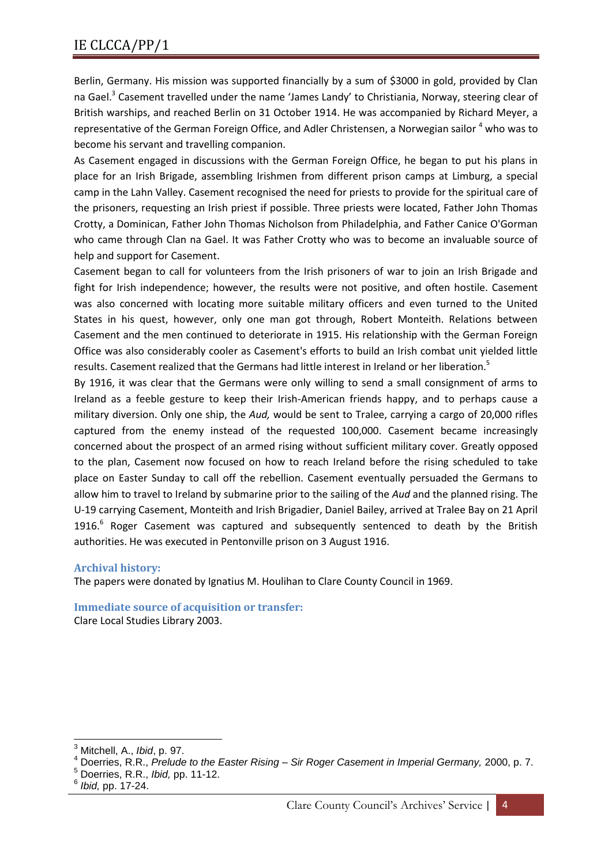Berlin, Germany. His mission was supported financially by a sum of \$3000 in gold, provided by Clan na Gael.<sup>3</sup> Casement travelled under the name 'James Landy' to Christiania, Norway, steering clear of British warships, and reached Berlin on 31 October 1914. He was accompanied by Richard Meyer, a representative of the German Foreign Office, and Adler Christensen, a Norwegian sailor <sup>4</sup> who was to become his servant and travelling companion.

As Casement engaged in discussions with the German Foreign Office, he began to put his plans in place for an Irish Brigade, assembling Irishmen from different prison camps at Limburg, a special camp in the Lahn Valley. Casement recognised the need for priests to provide for the spiritual care of the prisoners, requesting an Irish priest if possible. Three priests were located, Father John Thomas Crotty, a Dominican, Father John Thomas Nicholson from Philadelphia, and Father Canice O'Gorman who came through Clan na Gael. It was Father Crotty who was to become an invaluable source of help and support for Casement.

Casement began to call for volunteers from the Irish prisoners of war to join an Irish Brigade and fight for Irish independence; however, the results were not positive, and often hostile. Casement was also concerned with locating more suitable military officers and even turned to the United States in his quest, however, only one man got through, Robert Monteith. Relations between Casement and the men continued to deteriorate in 1915. His relationship with the German Foreign Office was also considerably cooler as Casement's efforts to build an Irish combat unit yielded little results. Casement realized that the Germans had little interest in Ireland or her liberation.<sup>5</sup>

By 1916, it was clear that the Germans were only willing to send a small consignment of arms to Ireland as a feeble gesture to keep their Irish-American friends happy, and to perhaps cause a military diversion. Only one ship, the *Aud,* would be sent to Tralee, carrying a cargo of 20,000 rifles captured from the enemy instead of the requested 100,000. Casement became increasingly concerned about the prospect of an armed rising without sufficient military cover. Greatly opposed to the plan, Casement now focused on how to reach Ireland before the rising scheduled to take place on Easter Sunday to call off the rebellion. Casement eventually persuaded the Germans to allow him to travel to Ireland by submarine prior to the sailing of the *Aud* and the planned rising. The U-19 carrying Casement, Monteith and Irish Brigadier, Daniel Bailey, arrived at Tralee Bay on 21 April 1916.<sup>6</sup> Roger Casement was captured and subsequently sentenced to death by the British authorities. He was executed in Pentonville prison on 3 August 1916.

## <span id="page-3-0"></span>**Archival history:**

The papers were donated by Ignatius M. Houlihan to Clare County Council in 1969.

<span id="page-3-1"></span>**Immediate source of acquisition or transfer:**

Clare Local Studies Library 2003.

 $\overline{\phantom{a}}$ 

<sup>3</sup> Mitchell, A., *Ibid*, p. 97.

<sup>4</sup> Doerries, R.R., *Prelude to the Easter Rising – Sir Roger Casement in Imperial Germany,* 2000, p. 7.

<sup>&</sup>lt;sup>5</sup> Doerries, R.R., *Ibid,* pp. 11-12.

*Ibid,* pp. 17-24.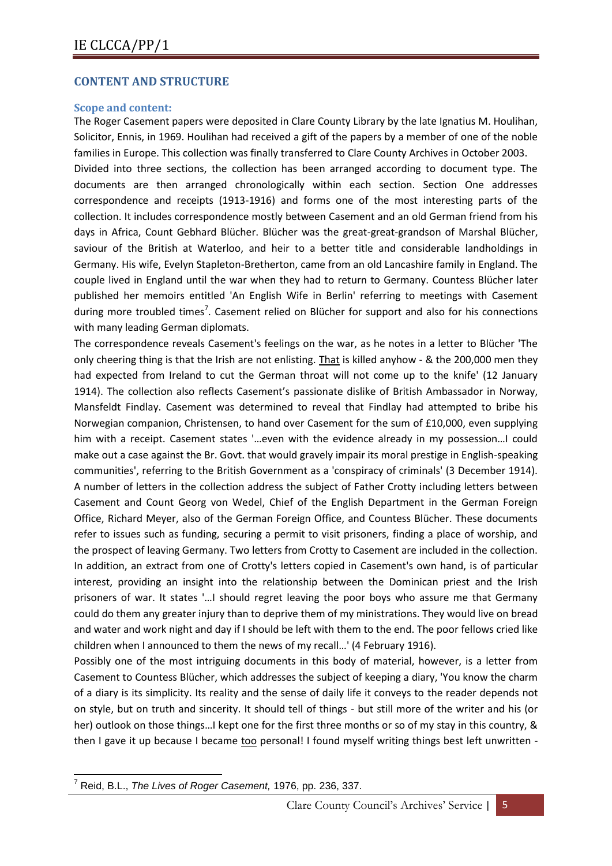## <span id="page-4-0"></span>**CONTENT AND STRUCTURE**

## <span id="page-4-1"></span>**Scope and content:**

The Roger Casement papers were deposited in Clare County Library by the late Ignatius M. Houlihan, Solicitor, Ennis, in 1969. Houlihan had received a gift of the papers by a member of one of the noble families in Europe. This collection was finally transferred to Clare County Archives in October 2003. Divided into three sections, the collection has been arranged according to document type. The documents are then arranged chronologically within each section. Section One addresses correspondence and receipts (1913-1916) and forms one of the most interesting parts of the collection. It includes correspondence mostly between Casement and an old German friend from his days in Africa, Count Gebhard Blücher. Blücher was the great-great-grandson of Marshal Blücher, saviour of the British at Waterloo, and heir to a better title and considerable landholdings in Germany. His wife, Evelyn Stapleton-Bretherton, came from an old Lancashire family in England. The couple lived in England until the war when they had to return to Germany. Countess Blücher later published her memoirs entitled 'An English Wife in Berlin' referring to meetings with Casement during more troubled times<sup>7</sup>. Casement relied on Blücher for support and also for his connections with many leading German diplomats.

The correspondence reveals Casement's feelings on the war, as he notes in a letter to Blücher 'The only cheering thing is that the Irish are not enlisting. That is killed anyhow - & the 200,000 men they had expected from Ireland to cut the German throat will not come up to the knife' (12 January 1914). The collection also reflects Casement's passionate dislike of British Ambassador in Norway, Mansfeldt Findlay. Casement was determined to reveal that Findlay had attempted to bribe his Norwegian companion, Christensen, to hand over Casement for the sum of £10,000, even supplying him with a receipt. Casement states '…even with the evidence already in my possession…I could make out a case against the Br. Govt. that would gravely impair its moral prestige in English-speaking communities', referring to the British Government as a 'conspiracy of criminals' (3 December 1914). A number of letters in the collection address the subject of Father Crotty including letters between Casement and Count Georg von Wedel, Chief of the English Department in the German Foreign Office, Richard Meyer, also of the German Foreign Office, and Countess Blücher. These documents refer to issues such as funding, securing a permit to visit prisoners, finding a place of worship, and the prospect of leaving Germany. Two letters from Crotty to Casement are included in the collection. In addition, an extract from one of Crotty's letters copied in Casement's own hand, is of particular interest, providing an insight into the relationship between the Dominican priest and the Irish prisoners of war. It states '…I should regret leaving the poor boys who assure me that Germany could do them any greater injury than to deprive them of my ministrations. They would live on bread and water and work night and day if I should be left with them to the end. The poor fellows cried like children when I announced to them the news of my recall…' (4 February 1916).

Possibly one of the most intriguing documents in this body of material, however, is a letter from Casement to Countess Blücher, which addresses the subject of keeping a diary, 'You know the charm of a diary is its simplicity. Its reality and the sense of daily life it conveys to the reader depends not on style, but on truth and sincerity. It should tell of things - but still more of the writer and his (or her) outlook on those things…I kept one for the first three months or so of my stay in this country, & then I gave it up because I became too personal! I found myself writing things best left unwritten -

**<sup>.</sup>** <sup>7</sup> Reid, B.L., *The Lives of Roger Casement,* 1976, pp. 236, 337.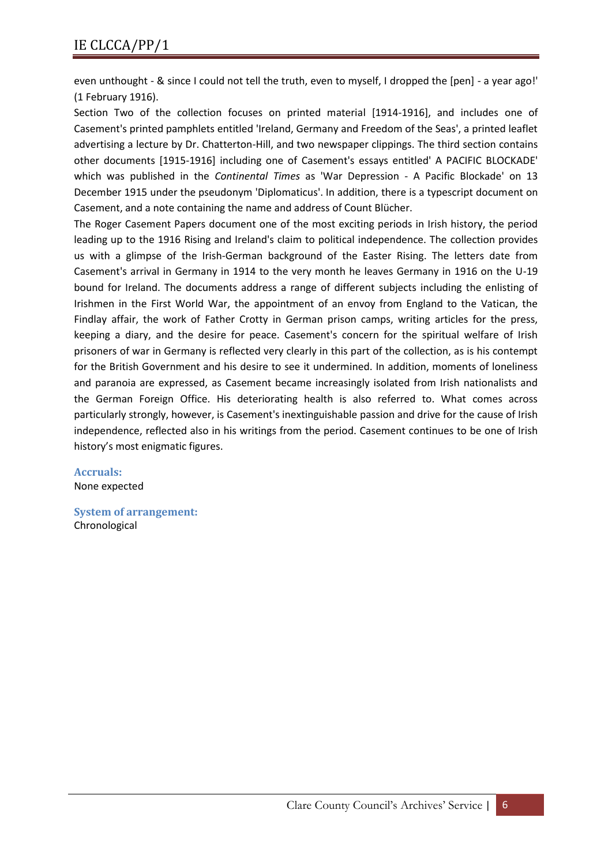even unthought - & since I could not tell the truth, even to myself, I dropped the [pen] - a year ago!' (1 February 1916).

Section Two of the collection focuses on printed material [1914-1916], and includes one of Casement's printed pamphlets entitled 'Ireland, Germany and Freedom of the Seas', a printed leaflet advertising a lecture by Dr. Chatterton-Hill, and two newspaper clippings. The third section contains other documents [1915-1916] including one of Casement's essays entitled' A PACIFIC BLOCKADE' which was published in the *Continental Times* as 'War Depression - A Pacific Blockade' on 13 December 1915 under the pseudonym 'Diplomaticus'. In addition, there is a typescript document on Casement, and a note containing the name and address of Count Blücher.

The Roger Casement Papers document one of the most exciting periods in Irish history, the period leading up to the 1916 Rising and Ireland's claim to political independence. The collection provides us with a glimpse of the Irish-German background of the Easter Rising. The letters date from Casement's arrival in Germany in 1914 to the very month he leaves Germany in 1916 on the U-19 bound for Ireland. The documents address a range of different subjects including the enlisting of Irishmen in the First World War, the appointment of an envoy from England to the Vatican, the Findlay affair, the work of Father Crotty in German prison camps, writing articles for the press, keeping a diary, and the desire for peace. Casement's concern for the spiritual welfare of Irish prisoners of war in Germany is reflected very clearly in this part of the collection, as is his contempt for the British Government and his desire to see it undermined. In addition, moments of loneliness and paranoia are expressed, as Casement became increasingly isolated from Irish nationalists and the German Foreign Office. His deteriorating health is also referred to. What comes across particularly strongly, however, is Casement's inextinguishable passion and drive for the cause of Irish independence, reflected also in his writings from the period. Casement continues to be one of Irish history's most enigmatic figures.

<span id="page-5-0"></span>**Accruals:**  None expected

<span id="page-5-1"></span>**System of arrangement:** Chronological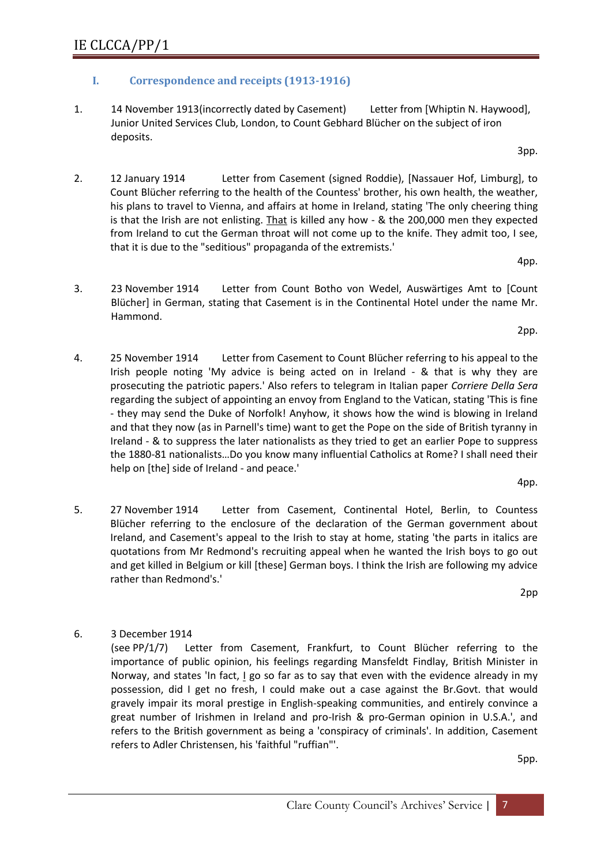## <span id="page-6-0"></span>**I. Correspondence and receipts (1913-1916)**

- 1. 14 November 1913(incorrectly dated by Casement) Letter from [Whiptin N. Haywood], Junior United Services Club, London, to Count Gebhard Blücher on the subject of iron deposits.
- 2. 12 January 1914 Letter from Casement (signed Roddie), [Nassauer Hof, Limburg], to Count Blücher referring to the health of the Countess' brother, his own health, the weather, his plans to travel to Vienna, and affairs at home in Ireland, stating 'The only cheering thing is that the Irish are not enlisting. That is killed any how - & the 200,000 men they expected from Ireland to cut the German throat will not come up to the knife. They admit too, I see, that it is due to the "seditious" propaganda of the extremists.'
- 3. 23 November 1914 Letter from Count Botho von Wedel, Auswärtiges Amt to [Count Blücher] in German, stating that Casement is in the Continental Hotel under the name Mr. Hammond.
- 4. 25 November 1914 Letter from Casement to Count Blücher referring to his appeal to the Irish people noting 'My advice is being acted on in Ireland - & that is why they are prosecuting the patriotic papers.' Also refers to telegram in Italian paper *Corriere Della Sera* regarding the subject of appointing an envoy from England to the Vatican, stating 'This is fine - they may send the Duke of Norfolk! Anyhow, it shows how the wind is blowing in Ireland and that they now (as in Parnell's time) want to get the Pope on the side of British tyranny in Ireland - & to suppress the later nationalists as they tried to get an earlier Pope to suppress the 1880-81 nationalists…Do you know many influential Catholics at Rome? I shall need their help on [the] side of Ireland - and peace.'
- 5. 27 November 1914 Letter from Casement, Continental Hotel, Berlin, to Countess Blücher referring to the enclosure of the declaration of the German government about Ireland, and Casement's appeal to the Irish to stay at home, stating 'the parts in italics are quotations from Mr Redmond's recruiting appeal when he wanted the Irish boys to go out and get killed in Belgium or kill [these] German boys. I think the Irish are following my advice rather than Redmond's.'

2pp

6. 3 December 1914

(see PP/1/7) Letter from Casement, Frankfurt, to Count Blücher referring to the importance of public opinion, his feelings regarding Mansfeldt Findlay, British Minister in Norway, and states 'In fact, I go so far as to say that even with the evidence already in my possession, did I get no fresh, I could make out a case against the Br.Govt. that would gravely impair its moral prestige in English-speaking communities, and entirely convince a great number of Irishmen in Ireland and pro-Irish & pro-German opinion in U.S.A.', and refers to the British government as being a 'conspiracy of criminals'. In addition, Casement refers to Adler Christensen, his 'faithful "ruffian"'.

5pp.

2pp.

4pp.

3pp.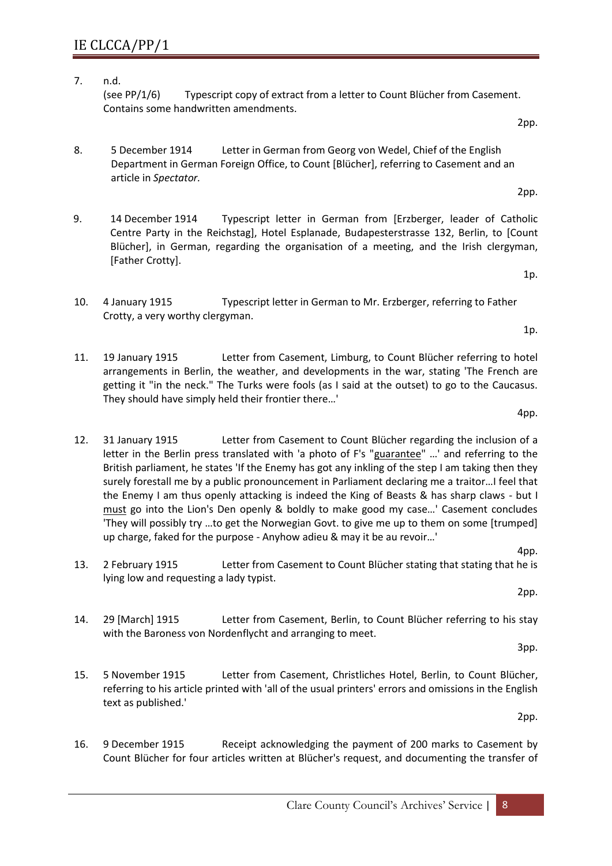- 7. n.d. (see PP/1/6) Typescript copy of extract from a letter to Count Blücher from Casement. Contains some handwritten amendments.
- 8. 5 December 1914 Letter in German from Georg von Wedel, Chief of the English Department in German Foreign Office, to Count [Blücher], referring to Casement and an article in *Spectator.*
- 9. 14 December 1914 Typescript letter in German from [Erzberger, leader of Catholic Centre Party in the Reichstag], Hotel Esplanade, Budapesterstrasse 132, Berlin, to [Count Blücher], in German, regarding the organisation of a meeting, and the Irish clergyman, [Father Crotty].
- 10. 4 January 1915 Typescript letter in German to Mr. Erzberger, referring to Father Crotty, a very worthy clergyman.
- 11. 19 January 1915 Letter from Casement, Limburg, to Count Blücher referring to hotel arrangements in Berlin, the weather, and developments in the war, stating 'The French are getting it "in the neck." The Turks were fools (as I said at the outset) to go to the Caucasus. They should have simply held their frontier there…'
- 12. 31 January 1915 Letter from Casement to Count Blücher regarding the inclusion of a letter in the Berlin press translated with 'a photo of F's "guarantee" ...' and referring to the British parliament, he states 'If the Enemy has got any inkling of the step I am taking then they surely forestall me by a public pronouncement in Parliament declaring me a traitor…I feel that the Enemy I am thus openly attacking is indeed the King of Beasts & has sharp claws - but I must go into the Lion's Den openly & boldly to make good my case…' Casement concludes 'They will possibly try …to get the Norwegian Govt. to give me up to them on some [trumped] up charge, faked for the purpose - Anyhow adieu & may it be au revoir…'
- 4pp. 13. 2 February 1915 Letter from Casement to Count Blücher stating that stating that he is lying low and requesting a lady typist.
- 14. 29 [March] 1915 Letter from Casement, Berlin, to Count Blücher referring to his stay with the Baroness von Nordenflycht and arranging to meet.
- 15. 5 November 1915 Letter from Casement, Christliches Hotel, Berlin, to Count Blücher, referring to his article printed with 'all of the usual printers' errors and omissions in the English text as published.'

16. 9 December 1915 Receipt acknowledging the payment of 200 marks to Casement by Count Blücher for four articles written at Blücher's request, and documenting the transfer of

2pp.

2pp.

1p.

1p.

4pp.

2pp.

3pp.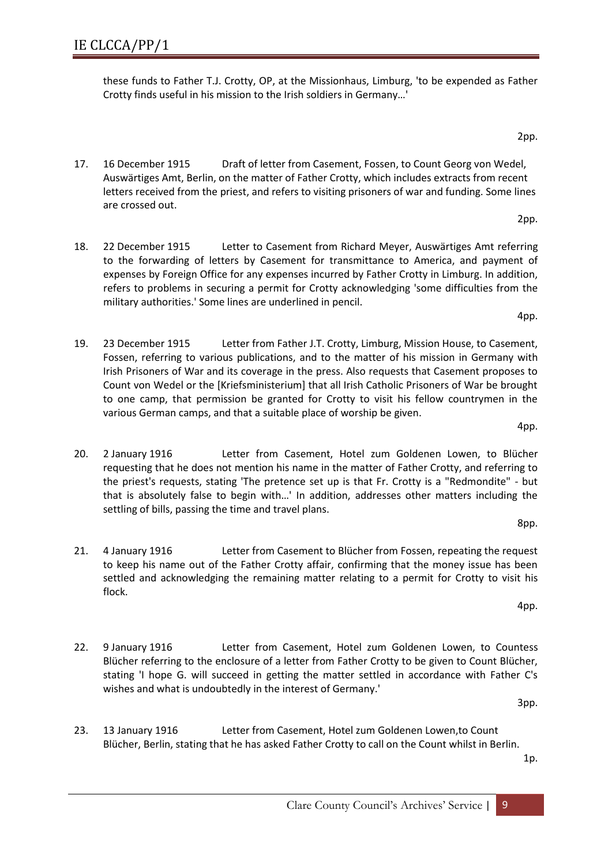23. 13 January 1916 Letter from Casement, Hotel zum Goldenen Lowen,to Count Blücher, Berlin, stating that he has asked Father Crotty to call on the Count whilst in Berlin.

wishes and what is undoubtedly in the interest of Germany.'

1p.

3pp.

22. 9 January 1916 Letter from Casement, Hotel zum Goldenen Lowen, to Countess Blücher referring to the enclosure of a letter from Father Crotty to be given to Count Blücher, stating 'I hope G. will succeed in getting the matter settled in accordance with Father C's

21. 4 January 1916 Letter from Casement to Blücher from Fossen, repeating the request to keep his name out of the Father Crotty affair, confirming that the money issue has been settled and acknowledging the remaining matter relating to a permit for Crotty to visit his

4pp. 20. 2 January 1916 Letter from Casement, Hotel zum Goldenen Lowen, to Blücher requesting that he does not mention his name in the matter of Father Crotty, and referring to the priest's requests, stating 'The pretence set up is that Fr. Crotty is a "Redmondite" - but that is absolutely false to begin with…' In addition, addresses other matters including the settling of bills, passing the time and travel plans.

various German camps, and that a suitable place of worship be given.

- military authorities.' Some lines are underlined in pencil. 4pp. 19. 23 December 1915 Letter from Father J.T. Crotty, Limburg, Mission House, to Casement, Fossen, referring to various publications, and to the matter of his mission in Germany with Irish Prisoners of War and its coverage in the press. Also requests that Casement proposes to Count von Wedel or the [Kriefsministerium] that all Irish Catholic Prisoners of War be brought
- 2pp. 18. 22 December 1915 Letter to Casement from Richard Meyer, Auswärtiges Amt referring to the forwarding of letters by Casement for transmittance to America, and payment of expenses by Foreign Office for any expenses incurred by Father Crotty in Limburg. In addition,

refers to problems in securing a permit for Crotty acknowledging 'some difficulties from the

to one camp, that permission be granted for Crotty to visit his fellow countrymen in the

- 17. 16 December 1915 Draft of letter from Casement, Fossen, to Count Georg von Wedel, Auswärtiges Amt, Berlin, on the matter of Father Crotty, which includes extracts from recent letters received from the priest, and refers to visiting prisoners of war and funding. Some lines are crossed out.
- 2pp.

Crotty finds useful in his mission to the Irish soldiers in Germany…'

these funds to Father T.J. Crotty, OP, at the Missionhaus, Limburg, 'to be expended as Father

IE CLCCA/PP/1

flock.

8pp.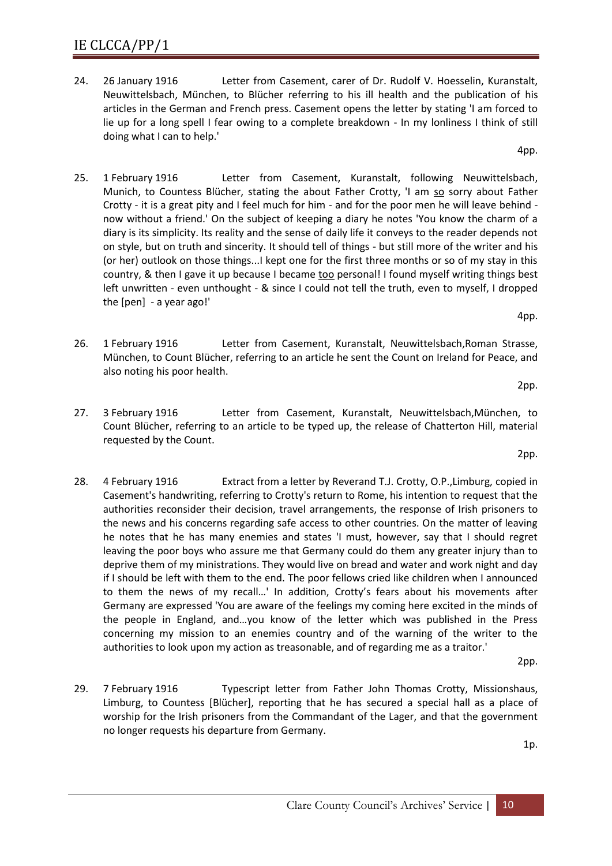- 24. 26 January 1916 Letter from Casement, carer of Dr. Rudolf V. Hoesselin, Kuranstalt, Neuwittelsbach, München, to Blücher referring to his ill health and the publication of his articles in the German and French press. Casement opens the letter by stating 'I am forced to lie up for a long spell I fear owing to a complete breakdown - In my lonliness I think of still doing what I can to help.'
- 25. 1 February 1916 Letter from Casement, Kuranstalt, following Neuwittelsbach, Munich, to Countess Blücher, stating the about Father Crotty, 'I am so sorry about Father Crotty - it is a great pity and I feel much for him - and for the poor men he will leave behind now without a friend.' On the subject of keeping a diary he notes 'You know the charm of a diary is its simplicity. Its reality and the sense of daily life it conveys to the reader depends not on style, but on truth and sincerity. It should tell of things - but still more of the writer and his (or her) outlook on those things...I kept one for the first three months or so of my stay in this country, & then I gave it up because I became too personal! I found myself writing things best left unwritten - even unthought - & since I could not tell the truth, even to myself, I dropped the [pen] - a year ago!'
- 26. 1 February 1916 Letter from Casement, Kuranstalt, Neuwittelsbach,Roman Strasse, München, to Count Blücher, referring to an article he sent the Count on Ireland for Peace, and also noting his poor health.
- 27. 3 February 1916 Letter from Casement, Kuranstalt, Neuwittelsbach,München, to Count Blücher, referring to an article to be typed up, the release of Chatterton Hill, material requested by the Count.
- 28. 4 February 1916 Extract from a letter by Reverand T.J. Crotty, O.P.,Limburg, copied in Casement's handwriting, referring to Crotty's return to Rome, his intention to request that the authorities reconsider their decision, travel arrangements, the response of Irish prisoners to the news and his concerns regarding safe access to other countries. On the matter of leaving he notes that he has many enemies and states 'I must, however, say that I should regret leaving the poor boys who assure me that Germany could do them any greater injury than to deprive them of my ministrations. They would live on bread and water and work night and day if I should be left with them to the end. The poor fellows cried like children when I announced to them the news of my recall…' In addition, Crotty's fears about his movements after Germany are expressed 'You are aware of the feelings my coming here excited in the minds of the people in England, and…you know of the letter which was published in the Press concerning my mission to an enemies country and of the warning of the writer to the authorities to look upon my action as treasonable, and of regarding me as a traitor.'

2pp.

29. 7 February 1916 Typescript letter from Father John Thomas Crotty, Missionshaus, Limburg, to Countess [Blücher], reporting that he has secured a special hall as a place of worship for the Irish prisoners from the Commandant of the Lager, and that the government no longer requests his departure from Germany.

1p.

2pp.

2pp.

4pp.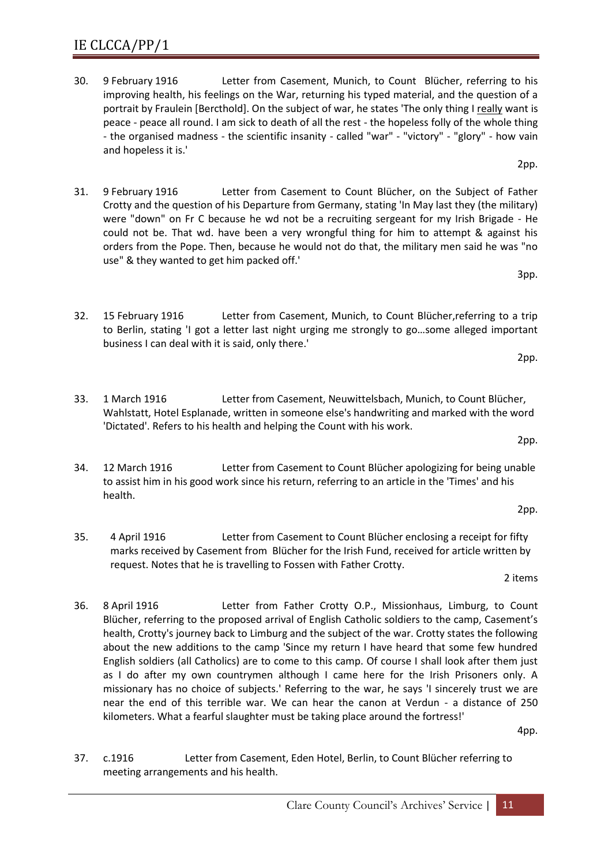- 30. 9 February 1916 Letter from Casement, Munich, to Count Blücher, referring to his improving health, his feelings on the War, returning his typed material, and the question of a portrait by Fraulein [Bercthold]. On the subject of war, he states 'The only thing I really want is peace - peace all round. I am sick to death of all the rest - the hopeless folly of the whole thing - the organised madness - the scientific insanity - called "war" - "victory" - "glory" - how vain and hopeless it is.'
- 31. 9 February 1916 Letter from Casement to Count Blücher, on the Subject of Father Crotty and the question of his Departure from Germany, stating 'In May last they (the military) were "down" on Fr C because he wd not be a recruiting sergeant for my Irish Brigade - He could not be. That wd. have been a very wrongful thing for him to attempt & against his orders from the Pope. Then, because he would not do that, the military men said he was "no use" & they wanted to get him packed off.'
- 32. 15 February 1916 Letter from Casement, Munich, to Count Blücher,referring to a trip to Berlin, stating 'I got a letter last night urging me strongly to go…some alleged important business I can deal with it is said, only there.'
- 33. 1 March 1916 Letter from Casement, Neuwittelsbach, Munich, to Count Blücher, Wahlstatt, Hotel Esplanade, written in someone else's handwriting and marked with the word 'Dictated'. Refers to his health and helping the Count with his work.
- 34. 12 March 1916 Letter from Casement to Count Blücher apologizing for being unable to assist him in his good work since his return, referring to an article in the 'Times' and his health.
- 35. 4 April 1916 Letter from Casement to Count Blücher enclosing a receipt for fifty marks received by Casement from Blücher for the Irish Fund, received for article written by request. Notes that he is travelling to Fossen with Father Crotty.

36. 8 April 1916 Letter from Father Crotty O.P., Missionhaus, Limburg, to Count Blücher, referring to the proposed arrival of English Catholic soldiers to the camp, Casement's health, Crotty's journey back to Limburg and the subject of the war. Crotty states the following about the new additions to the camp 'Since my return I have heard that some few hundred English soldiers (all Catholics) are to come to this camp. Of course I shall look after them just as I do after my own countrymen although I came here for the Irish Prisoners only. A missionary has no choice of subjects.' Referring to the war, he says 'I sincerely trust we are near the end of this terrible war. We can hear the canon at Verdun - a distance of 250 kilometers. What a fearful slaughter must be taking place around the fortress!'

37. c.1916 Letter from Casement, Eden Hotel, Berlin, to Count Blücher referring to meeting arrangements and his health.

2pp.

2pp.

2 items

4pp.

2pp.

3pp.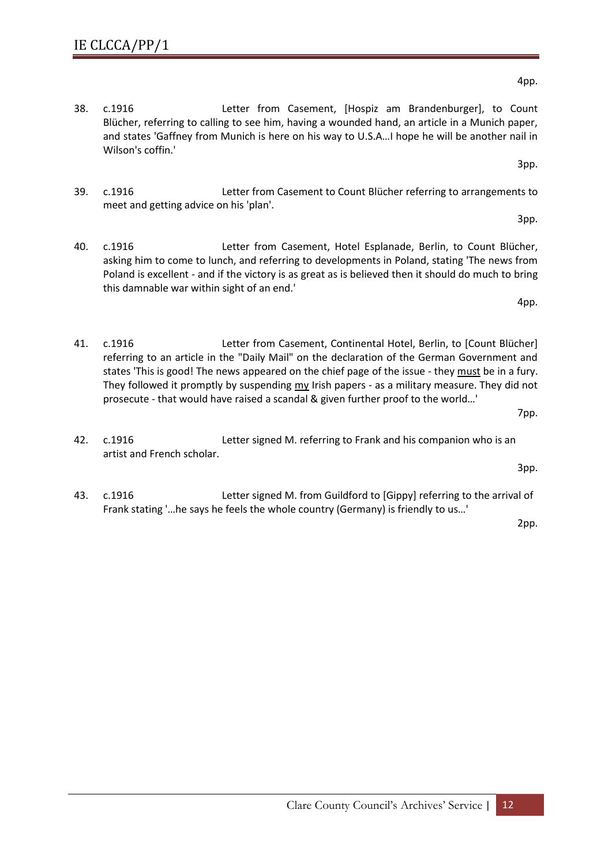- 38. c.1916 Letter from Casement, [Hospiz am Brandenburger], to Count Blücher, referring to calling to see him, having a wounded hand, an article in a Munich paper, and states 'Gaffney from Munich is here on his way to U.S.A…I hope he will be another nail in Wilson's coffin.'
- 39. c.1916 Letter from Casement to Count Blücher referring to arrangements to meet and getting advice on his 'plan'.
- 40. c.1916 Letter from Casement, Hotel Esplanade, Berlin, to Count Blücher, asking him to come to lunch, and referring to developments in Poland, stating 'The news from Poland is excellent - and if the victory is as great as is believed then it should do much to bring this damnable war within sight of an end.'
- 41. c.1916 Letter from Casement, Continental Hotel, Berlin, to [Count Blücher] referring to an article in the "Daily Mail" on the declaration of the German Government and states 'This is good! The news appeared on the chief page of the issue - they must be in a fury. They followed it promptly by suspending  $m<sub>Y</sub>$  Irish papers - as a military measure. They did not prosecute - that would have raised a scandal & given further proof to the world…'
- 42. c.1916 Letter signed M. referring to Frank and his companion who is an artist and French scholar.
- <span id="page-11-0"></span>43. c.1916 Letter signed M. from Guildford to [Gippy] referring to the arrival of Frank stating '…he says he feels the whole country (Germany) is friendly to us…'

2pp.

3pp.

3pp.

4pp.

4pp.

7pp.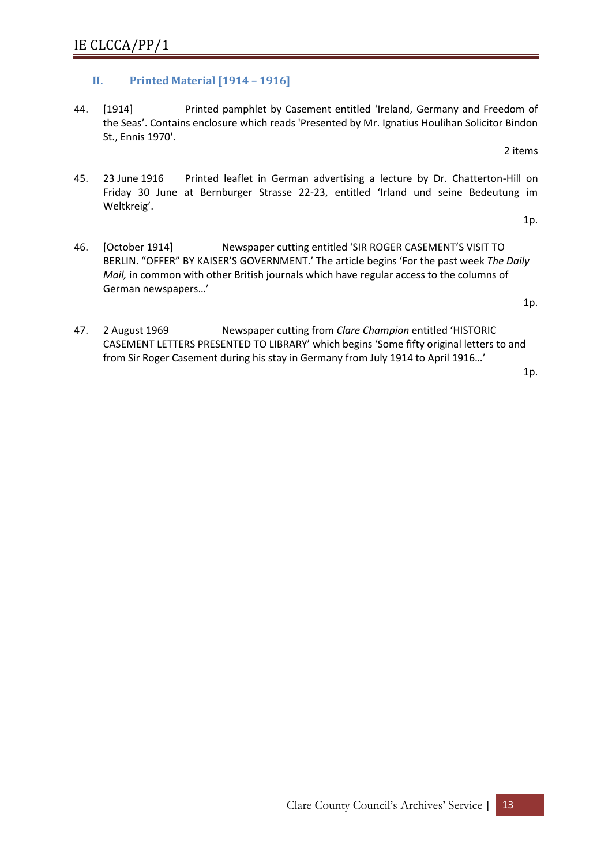## **II. Printed Material [1914 – 1916]**

44. [1914] Printed pamphlet by Casement entitled 'Ireland, Germany and Freedom of the Seas'. Contains enclosure which reads 'Presented by Mr. Ignatius Houlihan Solicitor Bindon St., Ennis 1970'.

2 items

45. 23 June 1916 Printed leaflet in German advertising a lecture by Dr. Chatterton-Hill on Friday 30 June at Bernburger Strasse 22-23, entitled 'Irland und seine Bedeutung im Weltkreig'.

1p.

46. [October 1914] Newspaper cutting entitled 'SIR ROGER CASEMENT'S VISIT TO BERLIN. "OFFER" BY KAISER'S GOVERNMENT.' The article begins 'For the past week *The Daily Mail,* in common with other British journals which have regular access to the columns of German newspapers…'

1p.

47. 2 August 1969 Newspaper cutting from *Clare Champion* entitled 'HISTORIC CASEMENT LETTERS PRESENTED TO LIBRARY' which begins 'Some fifty original letters to and from Sir Roger Casement during his stay in Germany from July 1914 to April 1916…'

1p.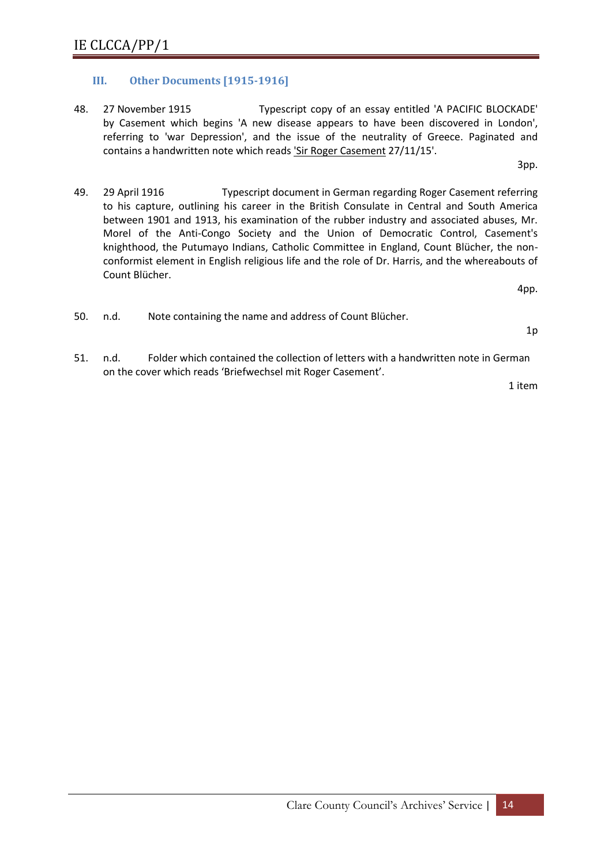## <span id="page-13-0"></span>**III. Other Documents [1915-1916]**

48. 27 November 1915 Typescript copy of an essay entitled 'A PACIFIC BLOCKADE' by Casement which begins 'A new disease appears to have been discovered in London', referring to 'war Depression', and the issue of the neutrality of Greece. Paginated and contains a handwritten note which reads 'Sir Roger Casement 27/11/15'.

3pp.

49. 29 April 1916 Typescript document in German regarding Roger Casement referring to his capture, outlining his career in the British Consulate in Central and South America between 1901 and 1913, his examination of the rubber industry and associated abuses, Mr. Morel of the Anti-Congo Society and the Union of Democratic Control, Casement's knighthood, the Putumayo Indians, Catholic Committee in England, Count Blücher, the nonconformist element in English religious life and the role of Dr. Harris, and the whereabouts of Count Blücher.

4pp.

50. n.d. Note containing the name and address of Count Blücher.

1p

<span id="page-13-1"></span>51. n.d. Folder which contained the collection of letters with a handwritten note in German on the cover which reads 'Briefwechsel mit Roger Casement'.

1 item